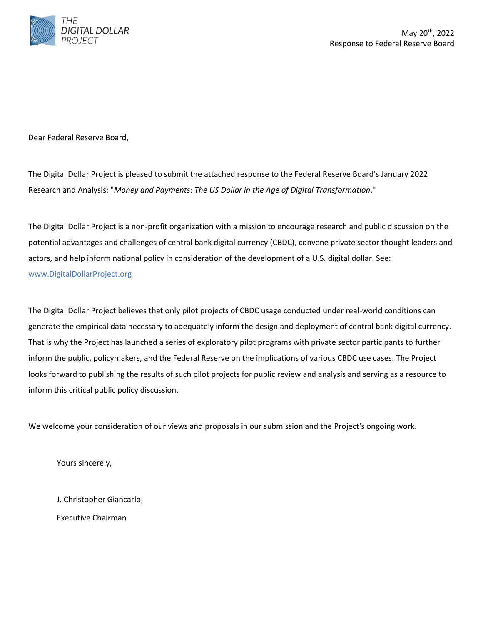

Dear Federal Reserve Board,

The Digital Dollar Project is pleased to submit the attached response to the Federal Reserve Board's January 2022 Research and Analysis: "*Money and Payments: The US Dollar in the Age of Digital Transformation*."

The Digital Dollar Project is a non-profit organization with a mission to encourage research and public discussion on the potential advantages and challenges of central bank digital currency (CBDC), convene private sector thought leaders and actors, and help inform national policy in consideration of the development of a U.S. digital dollar. See: <www.DigitalDollarProject.org>

The Digital Dollar Project believes that only pilot projects of CBDC usage conducted under real-world conditions can generate the empirical data necessary to adequately inform the design and deployment of central bank digital currency. That is why the Project has launched a series of exploratory pilot programs with private sector participants to further inform the public, policymakers, and the Federal Reserve on the implications of various CBDC use cases. The Project looks forward to publishing the results of such pilot projects for public review and analysis and serving as a resource to inform this critical public policy discussion.

We welcome your consideration of our views and proposals in our submission and the Project's ongoing work.

Yours sincerely,

J. Christopher Giancarlo,

Executive Chairman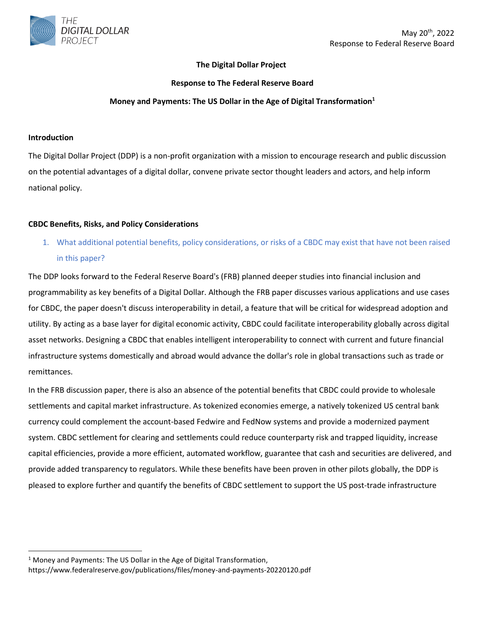

### **The Digital Dollar Project**

#### **Response to The Federal Reserve Board**

#### **Money and Payments: The US Dollar in the Age of Digital Transformation<sup>1</sup>**

#### **Introduction**

The Digital Dollar Project (DDP) is a non-profit organization with a mission to encourage research and public discussion on the potential advantages of a digital dollar, convene private sector thought leaders and actors, and help inform national policy.

#### **CBDC Benefits, Risks, and Policy Considerations**

1. What additional potential benefits, policy considerations, or risks of a CBDC may exist that have not been raised in this paper?

The DDP looks forward to the Federal Reserve Board's (FRB) planned deeper studies into financial inclusion and programmability as key benefits of a Digital Dollar. Although the FRB paper discusses various applications and use cases for CBDC, the paper doesn't discuss interoperability in detail, a feature that will be critical for widespread adoption and utility. By acting as a base layer for digital economic activity, CBDC could facilitate interoperability globally across digital asset networks. Designing a CBDC that enables intelligent interoperability to connect with current and future financial infrastructure systems domestically and abroad would advance the dollar's role in global transactions such as trade or remittances.

In the FRB discussion paper, there is also an absence of the potential benefits that CBDC could provide to wholesale settlements and capital market infrastructure. As tokenized economies emerge, a natively tokenized US central bank currency could complement the account-based Fedwire and FedNow systems and provide a modernized payment system. CBDC settlement for clearing and settlements could reduce counterparty risk and trapped liquidity, increase capital efficiencies, provide a more efficient, automated workflow, guarantee that cash and securities are delivered, and provide added transparency to regulators. While these benefits have been proven in other pilots globally, the DDP is pleased to explore further and quantify the benefits of CBDC settlement to support the US post-trade infrastructure

<sup>&</sup>lt;sup>1</sup> Money and Payments: The US Dollar in the Age of Digital Transformation,

https://www.federalreserve.gov/publications/files/money-and-payments-20220120.pdf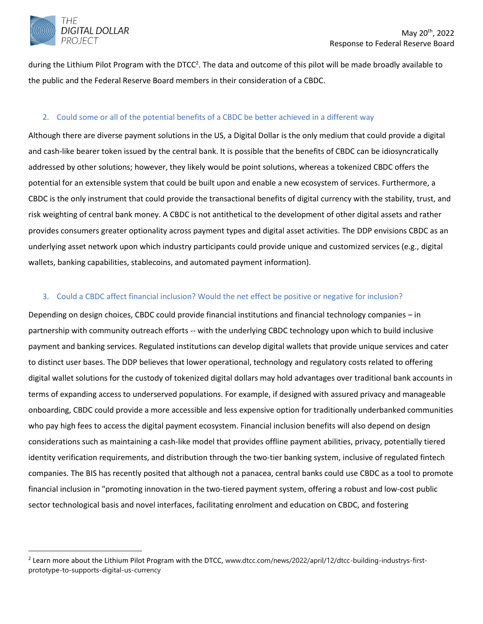

during the Lithium Pilot Program with the DTCC<sup>2</sup>. The data and outcome of this pilot will be made broadly available to the public and the Federal Reserve Board members in their consideration of a CBDC.

### 2. Could some or all of the potential benefits of a CBDC be better achieved in a different way

Although there are diverse payment solutions in the US, a Digital Dollar is the only medium that could provide a digital and cash-like bearer token issued by the central bank. It is possible that the benefits of CBDC can be idiosyncratically addressed by other solutions; however, they likely would be point solutions, whereas a tokenized CBDC offers the potential for an extensible system that could be built upon and enable a new ecosystem of services. Furthermore, a CBDC is the only instrument that could provide the transactional benefits of digital currency with the stability, trust, and risk weighting of central bank money. A CBDC is not antithetical to the development of other digital assets and rather provides consumers greater optionality across payment types and digital asset activities. The DDP envisions CBDC as an underlying asset network upon which industry participants could provide unique and customized services (e.g., digital wallets, banking capabilities, stablecoins, and automated payment information).

### 3. Could a CBDC affect financial inclusion? Would the net effect be positive or negative for inclusion?

Depending on design choices, CBDC could provide financial institutions and financial technology companies – in partnership with community outreach efforts -- with the underlying CBDC technology upon which to build inclusive payment and banking services. Regulated institutions can develop digital wallets that provide unique services and cater to distinct user bases. The DDP believes that lower operational, technology and regulatory costs related to offering digital wallet solutions for the custody of tokenized digital dollars may hold advantages over traditional bank accounts in terms of expanding access to underserved populations. For example, if designed with assured privacy and manageable onboarding, CBDC could provide a more accessible and less expensive option for traditionally underbanked communities who pay high fees to access the digital payment ecosystem. Financial inclusion benefits will also depend on design considerations such as maintaining a cash-like model that provides offline payment abilities, privacy, potentially tiered identity verification requirements, and distribution through the two-tier banking system, inclusive of regulated fintech companies. The BIS has recently posited that although not a panacea, central banks could use CBDC as a tool to promote financial inclusion in "promoting innovation in the two-tiered payment system, offering a robust and low-cost public sector technological basis and novel interfaces, facilitating enrolment and education on CBDC, and fostering

 $^2$  Learn more about the Lithium Pilot Program with the DTCC, www.dtcc.com/news/2022/april/12/dtcc-building-industrys-firstprototype-to-supports-digital-us-currency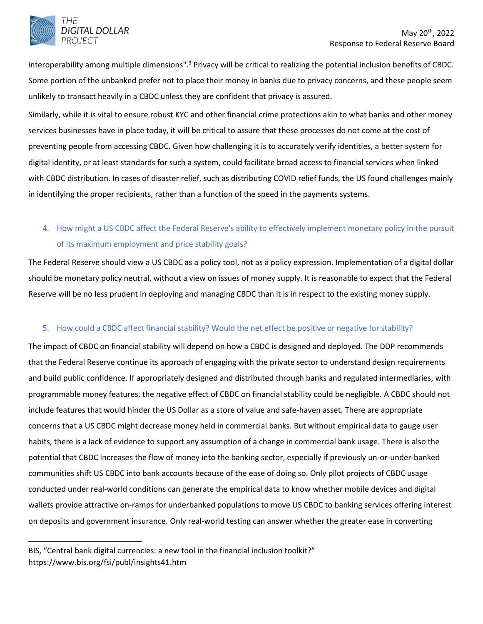

interoperability among multiple dimensions".<sup>3</sup> Privacy will be critical to realizing the potential inclusion benefits of CBDC. Some portion of the unbanked prefer not to place their money in banks due to privacy concerns, and these people seem unlikely to transact heavily in a CBDC unless they are confident that privacy is assured.

Similarly, while it is vital to ensure robust KYC and other financial crime protections akin to what banks and other money services businesses have in place today, it will be critical to assure that these processes do not come at the cost of preventing people from accessing CBDC. Given how challenging it is to accurately verify identities, a better system for digital identity, or at least standards for such a system, could facilitate broad access to financial services when linked with CBDC distribution. In cases of disaster relief, such as distributing COVID relief funds, the US found challenges mainly in identifying the proper recipients, rather than a function of the speed in the payments systems.

# 4. How might a US CBDC affect the Federal Reserve's ability to effectively implement monetary policy in the pursuit of its maximum employment and price stability goals?

The Federal Reserve should view a US CBDC as a policy tool, not as a policy expression. Implementation of a digital dollar should be monetary policy neutral, without a view on issues of money supply. It is reasonable to expect that the Federal Reserve will be no less prudent in deploying and managing CBDC than it is in respect to the existing money supply.

### 5. How could a CBDC affect financial stability? Would the net effect be positive or negative for stability?

The impact of CBDC on financial stability will depend on how a CBDC is designed and deployed. The DDP recommends that the Federal Reserve continue its approach of engaging with the private sector to understand design requirements and build public confidence. If appropriately designed and distributed through banks and regulated intermediaries, with programmable money features, the negative effect of CBDC on financial stability could be negligible. A CBDC should not include features that would hinder the US Dollar as a store of value and safe-haven asset. There are appropriate concerns that a US CBDC might decrease money held in commercial banks. But without empirical data to gauge user habits, there is a lack of evidence to support any assumption of a change in commercial bank usage. There is also the potential that CBDC increases the flow of money into the banking sector, especially if previously un-or-under-banked communities shift US CBDC into bank accounts because of the ease of doing so. Only pilot projects of CBDC usage conducted under real-world conditions can generate the empirical data to know whether mobile devices and digital wallets provide attractive on-ramps for underbanked populations to move US CBDC to banking services offering interest on deposits and government insurance. Only real-world testing can answer whether the greater ease in converting

BIS, "Central bank digital currencies: a new tool in the financial inclusion toolkit?" https://www.bis.org/fsi/publ/insights41.htm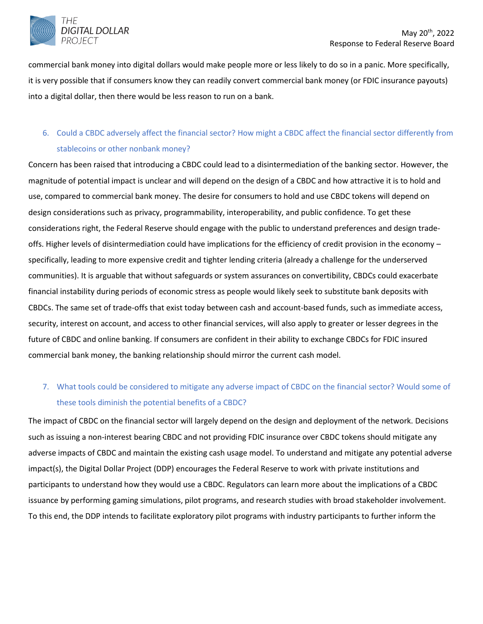

commercial bank money into digital dollars would make people more or less likely to do so in a panic. More specifically, it is very possible that if consumers know they can readily convert commercial bank money (or FDIC insurance payouts) into a digital dollar, then there would be less reason to run on a bank.

## 6. Could a CBDC adversely affect the financial sector? How might a CBDC affect the financial sector differently from stablecoins or other nonbank money?

Concern has been raised that introducing a CBDC could lead to a disintermediation of the banking sector. However, the magnitude of potential impact is unclear and will depend on the design of a CBDC and how attractive it is to hold and use, compared to commercial bank money. The desire for consumers to hold and use CBDC tokens will depend on design considerations such as privacy, programmability, interoperability, and public confidence. To get these considerations right, the Federal Reserve should engage with the public to understand preferences and design tradeoffs. Higher levels of disintermediation could have implications for the efficiency of credit provision in the economy – specifically, leading to more expensive credit and tighter lending criteria (already a challenge for the underserved communities). It is arguable that without safeguards or system assurances on convertibility, CBDCs could exacerbate financial instability during periods of economic stress as people would likely seek to substitute bank deposits with CBDCs. The same set of trade-offs that exist today between cash and account-based funds, such as immediate access, security, interest on account, and access to other financial services, will also apply to greater or lesser degrees in the future of CBDC and online banking. If consumers are confident in their ability to exchange CBDCs for FDIC insured commercial bank money, the banking relationship should mirror the current cash model.

## 7. What tools could be considered to mitigate any adverse impact of CBDC on the financial sector? Would some of these tools diminish the potential benefits of a CBDC?

The impact of CBDC on the financial sector will largely depend on the design and deployment of the network. Decisions such as issuing a non-interest bearing CBDC and not providing FDIC insurance over CBDC tokens should mitigate any adverse impacts of CBDC and maintain the existing cash usage model. To understand and mitigate any potential adverse impact(s), the Digital Dollar Project (DDP) encourages the Federal Reserve to work with private institutions and participants to understand how they would use a CBDC. Regulators can learn more about the implications of a CBDC issuance by performing gaming simulations, pilot programs, and research studies with broad stakeholder involvement. To this end, the DDP intends to facilitate exploratory pilot programs with industry participants to further inform the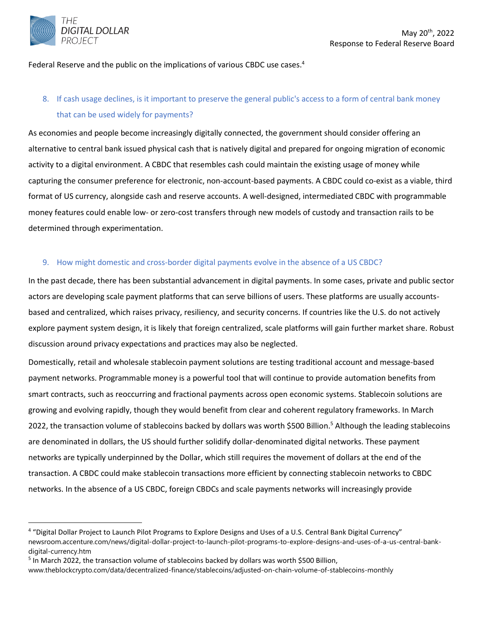

Federal Reserve and the public on the implications of various CBDC use cases.<sup>4</sup>

## 8. If cash usage declines, is it important to preserve the general public's access to a form of central bank money that can be used widely for payments?

As economies and people become increasingly digitally connected, the government should consider offering an alternative to central bank issued physical cash that is natively digital and prepared for ongoing migration of economic activity to a digital environment. A CBDC that resembles cash could maintain the existing usage of money while capturing the consumer preference for electronic, non-account-based payments. A CBDC could co-exist as a viable, third format of US currency, alongside cash and reserve accounts. A well-designed, intermediated CBDC with programmable money features could enable low- or zero-cost transfers through new models of custody and transaction rails to be determined through experimentation.

### 9. How might domestic and cross-border digital payments evolve in the absence of a US CBDC?

In the past decade, there has been substantial advancement in digital payments. In some cases, private and public sector actors are developing scale payment platforms that can serve billions of users. These platforms are usually accountsbased and centralized, which raises privacy, resiliency, and security concerns. If countries like the U.S. do not actively explore payment system design, it is likely that foreign centralized, scale platforms will gain further market share. Robust discussion around privacy expectations and practices may also be neglected.

Domestically, retail and wholesale stablecoin payment solutions are testing traditional account and message-based payment networks. Programmable money is a powerful tool that will continue to provide automation benefits from smart contracts, such as reoccurring and fractional payments across open economic systems. Stablecoin solutions are growing and evolving rapidly, though they would benefit from clear and coherent regulatory frameworks. In March 2022, the transaction volume of stablecoins backed by dollars was worth \$500 Billion. <sup>5</sup> Although the leading stablecoins are denominated in dollars, the US should further solidify dollar-denominated digital networks. These payment networks are typically underpinned by the Dollar, which still requires the movement of dollars at the end of the transaction. A CBDC could make stablecoin transactions more efficient by connecting stablecoin networks to CBDC networks. In the absence of a US CBDC, foreign CBDCs and scale payments networks will increasingly provide

<sup>4</sup> "Digital Dollar Project to Launch Pilot Programs to Explore Designs and Uses of a U.S. Central Bank Digital Currency" newsroom.accenture.com/news/digital-dollar-project-to-launch-pilot-programs-to-explore-designs-and-uses-of-a-us-central-bankdigital-currency.htm

<sup>&</sup>lt;sup>5</sup> In March 2022, the transaction volume of stablecoins backed by dollars was worth \$500 Billion,

www.theblockcrypto.com/data/decentralized-finance/stablecoins/adjusted-on-chain-volume-of-stablecoins-monthly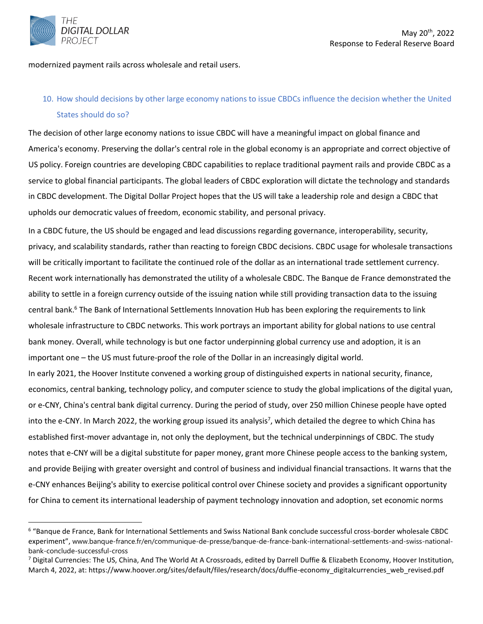

modernized payment rails across wholesale and retail users.

## 10. How should decisions by other large economy nations to issue CBDCs influence the decision whether the United States should do so?

The decision of other large economy nations to issue CBDC will have a meaningful impact on global finance and America's economy. Preserving the dollar's central role in the global economy is an appropriate and correct objective of US policy. Foreign countries are developing CBDC capabilities to replace traditional payment rails and provide CBDC as a service to global financial participants. The global leaders of CBDC exploration will dictate the technology and standards in CBDC development. The Digital Dollar Project hopes that the US will take a leadership role and design a CBDC that upholds our democratic values of freedom, economic stability, and personal privacy.

In a CBDC future, the US should be engaged and lead discussions regarding governance, interoperability, security, privacy, and scalability standards, rather than reacting to foreign CBDC decisions. CBDC usage for wholesale transactions will be critically important to facilitate the continued role of the dollar as an international trade settlement currency. Recent work internationally has demonstrated the utility of a wholesale CBDC. The Banque de France demonstrated the ability to settle in a foreign currency outside of the issuing nation while still providing transaction data to the issuing central bank.<sup>6</sup> The Bank of International Settlements Innovation Hub has been exploring the requirements to link wholesale infrastructure to CBDC networks. This work portrays an important ability for global nations to use central bank money. Overall, while technology is but one factor underpinning global currency use and adoption, it is an important one – the US must future-proof the role of the Dollar in an increasingly digital world. In early 2021, the Hoover Institute convened a working group of distinguished experts in national security, finance,

economics, central banking, technology policy, and computer science to study the global implications of the digital yuan, or e-CNY, China's central bank digital currency. During the period of study, over 250 million Chinese people have opted into the e-CNY. In March 2022, the working group issued its analysis<sup>7</sup>, which detailed the degree to which China has established first-mover advantage in, not only the deployment, but the technical underpinnings of CBDC. The study notes that e-CNY will be a digital substitute for paper money, grant more Chinese people access to the banking system, and provide Beijing with greater oversight and control of business and individual financial transactions. It warns that the e-CNY enhances Beijing's ability to exercise political control over Chinese society and provides a significant opportunity for China to cement its international leadership of payment technology innovation and adoption, set economic norms

<sup>6</sup> "Banque de France, Bank for International Settlements and Swiss National Bank conclude successful cross-border wholesale CBDC experiment", www.banque-france.fr/en/communique-de-presse/banque-de-france-bank-international-settlements-and-swiss-nationalbank-conclude-successful-cross

 $^7$  Digital Currencies: The US, China, And The World At A Crossroads, edited by Darrell Duffie & Elizabeth Economy, Hoover Institution, March 4, 2022, at: https://www.hoover.org/sites/default/files/research/docs/duffie-economy\_digitalcurrencies\_web\_revised.pdf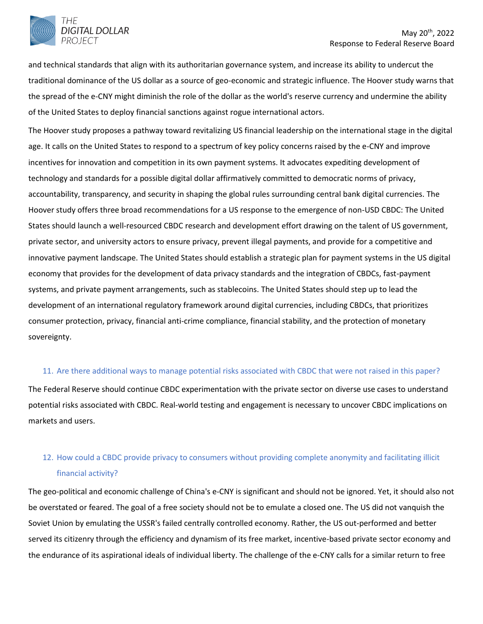

and technical standards that align with its authoritarian governance system, and increase its ability to undercut the traditional dominance of the US dollar as a source of geo-economic and strategic influence. The Hoover study warns that the spread of the e-CNY might diminish the role of the dollar as the world's reserve currency and undermine the ability of the United States to deploy financial sanctions against rogue international actors.

The Hoover study proposes a pathway toward revitalizing US financial leadership on the international stage in the digital age. It calls on the United States to respond to a spectrum of key policy concerns raised by the e-CNY and improve incentives for innovation and competition in its own payment systems. It advocates expediting development of technology and standards for a possible digital dollar affirmatively committed to democratic norms of privacy, accountability, transparency, and security in shaping the global rules surrounding central bank digital currencies. The Hoover study offers three broad recommendations for a US response to the emergence of non-USD CBDC: The United States should launch a well-resourced CBDC research and development effort drawing on the talent of US government, private sector, and university actors to ensure privacy, prevent illegal payments, and provide for a competitive and innovative payment landscape. The United States should establish a strategic plan for payment systems in the US digital economy that provides for the development of data privacy standards and the integration of CBDCs, fast-payment systems, and private payment arrangements, such as stablecoins. The United States should step up to lead the development of an international regulatory framework around digital currencies, including CBDCs, that prioritizes consumer protection, privacy, financial anti-crime compliance, financial stability, and the protection of monetary sovereignty.

#### 11. Are there additional ways to manage potential risks associated with CBDC that were not raised in this paper?

The Federal Reserve should continue CBDC experimentation with the private sector on diverse use cases to understand potential risks associated with CBDC. Real-world testing and engagement is necessary to uncover CBDC implications on markets and users.

# 12. How could a CBDC provide privacy to consumers without providing complete anonymity and facilitating illicit financial activity?

The geo-political and economic challenge of China's e-CNY is significant and should not be ignored. Yet, it should also not be overstated or feared. The goal of a free society should not be to emulate a closed one. The US did not vanquish the Soviet Union by emulating the USSR's failed centrally controlled economy. Rather, the US out-performed and better served its citizenry through the efficiency and dynamism of its free market, incentive-based private sector economy and the endurance of its aspirational ideals of individual liberty. The challenge of the e-CNY calls for a similar return to free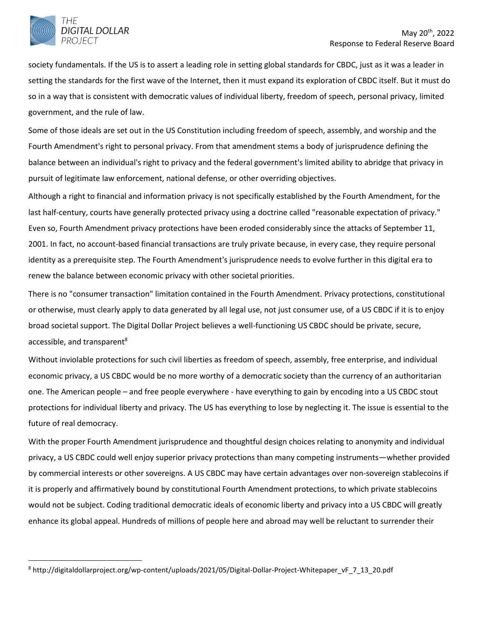

society fundamentals. If the US is to assert a leading role in setting global standards for CBDC, just as it was a leader in setting the standards for the first wave of the Internet, then it must expand its exploration of CBDC itself. But it must do so in a way that is consistent with democratic values of individual liberty, freedom of speech, personal privacy, limited government, and the rule of law.

Some of those ideals are set out in the US Constitution including freedom of speech, assembly, and worship and the Fourth Amendment's right to personal privacy. From that amendment stems a body of jurisprudence defining the balance between an individual's right to privacy and the federal government's limited ability to abridge that privacy in pursuit of legitimate law enforcement, national defense, or other overriding objectives.

Although a right to financial and information privacy is not specifically established by the Fourth Amendment, for the last half-century, courts have generally protected privacy using a doctrine called "reasonable expectation of privacy." Even so, Fourth Amendment privacy protections have been eroded considerably since the attacks of September 11, 2001. In fact, no account-based financial transactions are truly private because, in every case, they require personal identity as a prerequisite step. The Fourth Amendment's jurisprudence needs to evolve further in this digital era to renew the balance between economic privacy with other societal priorities.

There is no "consumer transaction" limitation contained in the Fourth Amendment. Privacy protections, constitutional or otherwise, must clearly apply to data generated by all legal use, not just consumer use, of a US CBDC if it is to enjoy broad societal support. The Digital Dollar Project believes a well-functioning US CBDC should be private, secure, accessible, and transparent<sup>8</sup>

Without inviolable protections for such civil liberties as freedom of speech, assembly, free enterprise, and individual economic privacy, a US CBDC would be no more worthy of a democratic society than the currency of an authoritarian one. The American people – and free people everywhere - have everything to gain by encoding into a US CBDC stout protections for individual liberty and privacy. The US has everything to lose by neglecting it. The issue is essential to the future of real democracy.

With the proper Fourth Amendment jurisprudence and thoughtful design choices relating to anonymity and individual privacy, a US CBDC could well enjoy superior privacy protections than many competing instruments—whether provided by commercial interests or other sovereigns. A US CBDC may have certain advantages over non-sovereign stablecoins if it is properly and affirmatively bound by constitutional Fourth Amendment protections, to which private stablecoins would not be subject. Coding traditional democratic ideals of economic liberty and privacy into a US CBDC will greatly enhance its global appeal. Hundreds of millions of people here and abroad may well be reluctant to surrender their

<sup>8</sup> http://digitaldollarproject.org/wp-content/uploads/2021/05/Digital-Dollar-Project-Whitepaper\_vF\_7\_13\_20.pdf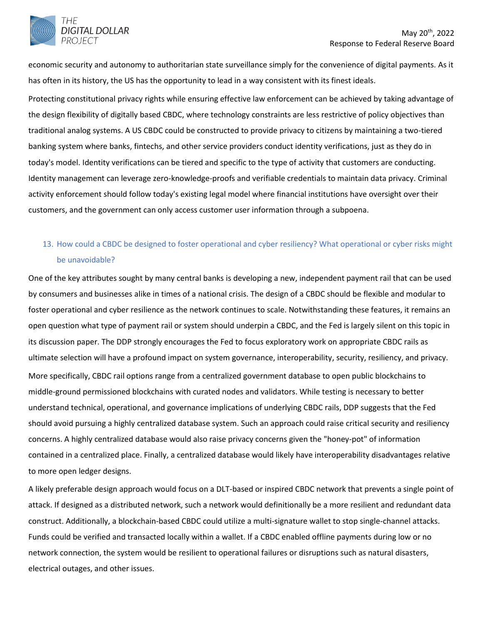economic security and autonomy to authoritarian state surveillance simply for the convenience of digital payments. As it has often in its history, the US has the opportunity to lead in a way consistent with its finest ideals.

Protecting constitutional privacy rights while ensuring effective law enforcement can be achieved by taking advantage of the design flexibility of digitally based CBDC, where technology constraints are less restrictive of policy objectives than traditional analog systems. A US CBDC could be constructed to provide privacy to citizens by maintaining a two-tiered banking system where banks, fintechs, and other service providers conduct identity verifications, just as they do in today's model. Identity verifications can be tiered and specific to the type of activity that customers are conducting. Identity management can leverage zero-knowledge-proofs and verifiable credentials to maintain data privacy. Criminal activity enforcement should follow today's existing legal model where financial institutions have oversight over their customers, and the government can only access customer user information through a subpoena.

# 13. How could a CBDC be designed to foster operational and cyber resiliency? What operational or cyber risks might be unavoidable?

One of the key attributes sought by many central banks is developing a new, independent payment rail that can be used by consumers and businesses alike in times of a national crisis. The design of a CBDC should be flexible and modular to foster operational and cyber resilience as the network continues to scale. Notwithstanding these features, it remains an open question what type of payment rail or system should underpin a CBDC, and the Fed is largely silent on this topic in its discussion paper. The DDP strongly encourages the Fed to focus exploratory work on appropriate CBDC rails as ultimate selection will have a profound impact on system governance, interoperability, security, resiliency, and privacy. More specifically, CBDC rail options range from a centralized government database to open public blockchains to middle-ground permissioned blockchains with curated nodes and validators. While testing is necessary to better understand technical, operational, and governance implications of underlying CBDC rails, DDP suggests that the Fed should avoid pursuing a highly centralized database system. Such an approach could raise critical security and resiliency concerns. A highly centralized database would also raise privacy concerns given the "honey-pot" of information contained in a centralized place. Finally, a centralized database would likely have interoperability disadvantages relative to more open ledger designs.

A likely preferable design approach would focus on a DLT-based or inspired CBDC network that prevents a single point of attack. If designed as a distributed network, such a network would definitionally be a more resilient and redundant data construct. Additionally, a blockchain-based CBDC could utilize a multi-signature wallet to stop single-channel attacks. Funds could be verified and transacted locally within a wallet. If a CBDC enabled offline payments during low or no network connection, the system would be resilient to operational failures or disruptions such as natural disasters, electrical outages, and other issues.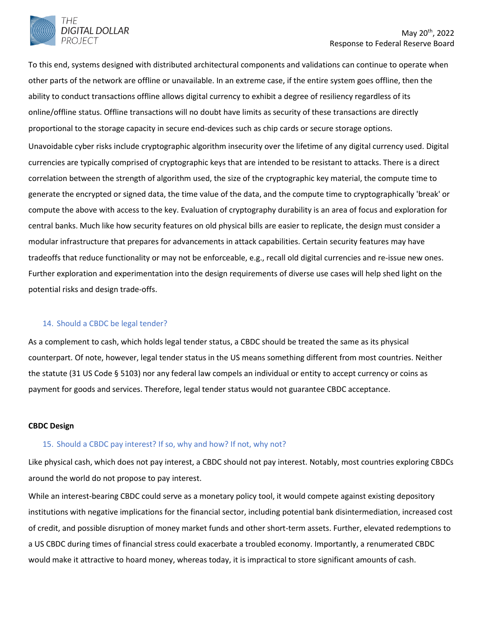

To this end, systems designed with distributed architectural components and validations can continue to operate when other parts of the network are offline or unavailable. In an extreme case, if the entire system goes offline, then the ability to conduct transactions offline allows digital currency to exhibit a degree of resiliency regardless of its online/offline status. Offline transactions will no doubt have limits as security of these transactions are directly proportional to the storage capacity in secure end-devices such as chip cards or secure storage options. Unavoidable cyber risks include cryptographic algorithm insecurity over the lifetime of any digital currency used. Digital currencies are typically comprised of cryptographic keys that are intended to be resistant to attacks. There is a direct correlation between the strength of algorithm used, the size of the cryptographic key material, the compute time to generate the encrypted or signed data, the time value of the data, and the compute time to cryptographically 'break' or compute the above with access to the key. Evaluation of cryptography durability is an area of focus and exploration for central banks. Much like how security features on old physical bills are easier to replicate, the design must consider a modular infrastructure that prepares for advancements in attack capabilities. Certain security features may have tradeoffs that reduce functionality or may not be enforceable, e.g., recall old digital currencies and re-issue new ones. Further exploration and experimentation into the design requirements of diverse use cases will help shed light on the potential risks and design trade-offs.

#### 14. Should a CBDC be legal tender?

As a complement to cash, which holds legal tender status, a CBDC should be treated the same as its physical counterpart. Of note, however, legal tender status in the US means something different from most countries. Neither the statute (31 US Code § 5103) nor any federal law compels an individual or entity to accept currency or coins as payment for goods and services. Therefore, legal tender status would not guarantee CBDC acceptance.

#### **CBDC Design**

#### 15. Should a CBDC pay interest? If so, why and how? If not, why not?

Like physical cash, which does not pay interest, a CBDC should not pay interest. Notably, most countries exploring CBDCs around the world do not propose to pay interest.

While an interest-bearing CBDC could serve as a monetary policy tool, it would compete against existing depository institutions with negative implications for the financial sector, including potential bank disintermediation, increased cost of credit, and possible disruption of money market funds and other short-term assets. Further, elevated redemptions to a US CBDC during times of financial stress could exacerbate a troubled economy. Importantly, a renumerated CBDC would make it attractive to hoard money, whereas today, it is impractical to store significant amounts of cash.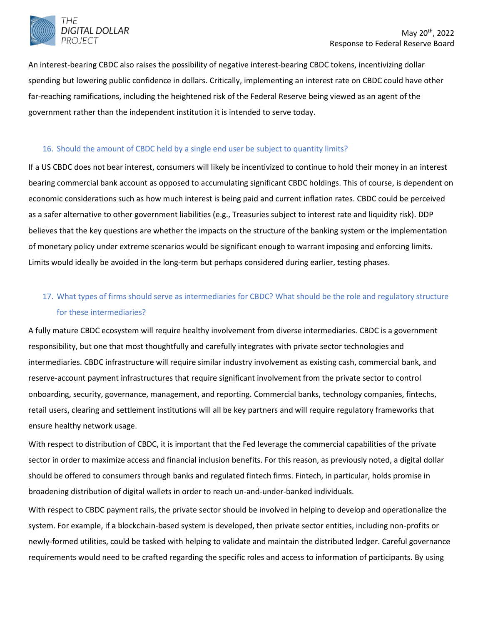

An interest-bearing CBDC also raises the possibility of negative interest-bearing CBDC tokens, incentivizing dollar spending but lowering public confidence in dollars. Critically, implementing an interest rate on CBDC could have other far-reaching ramifications, including the heightened risk of the Federal Reserve being viewed as an agent of the government rather than the independent institution it is intended to serve today.

### 16. Should the amount of CBDC held by a single end user be subject to quantity limits?

If a US CBDC does not bear interest, consumers will likely be incentivized to continue to hold their money in an interest bearing commercial bank account as opposed to accumulating significant CBDC holdings. This of course, is dependent on economic considerations such as how much interest is being paid and current inflation rates. CBDC could be perceived as a safer alternative to other government liabilities (e.g., Treasuries subject to interest rate and liquidity risk). DDP believes that the key questions are whether the impacts on the structure of the banking system or the implementation of monetary policy under extreme scenarios would be significant enough to warrant imposing and enforcing limits. Limits would ideally be avoided in the long-term but perhaps considered during earlier, testing phases.

# 17. What types of firms should serve as intermediaries for CBDC? What should be the role and regulatory structure for these intermediaries?

A fully mature CBDC ecosystem will require healthy involvement from diverse intermediaries. CBDC is a government responsibility, but one that most thoughtfully and carefully integrates with private sector technologies and intermediaries. CBDC infrastructure will require similar industry involvement as existing cash, commercial bank, and reserve-account payment infrastructures that require significant involvement from the private sector to control onboarding, security, governance, management, and reporting. Commercial banks, technology companies, fintechs, retail users, clearing and settlement institutions will all be key partners and will require regulatory frameworks that ensure healthy network usage.

With respect to distribution of CBDC, it is important that the Fed leverage the commercial capabilities of the private sector in order to maximize access and financial inclusion benefits. For this reason, as previously noted, a digital dollar should be offered to consumers through banks and regulated fintech firms. Fintech, in particular, holds promise in broadening distribution of digital wallets in order to reach un-and-under-banked individuals.

With respect to CBDC payment rails, the private sector should be involved in helping to develop and operationalize the system. For example, if a blockchain-based system is developed, then private sector entities, including non-profits or newly-formed utilities, could be tasked with helping to validate and maintain the distributed ledger. Careful governance requirements would need to be crafted regarding the specific roles and access to information of participants. By using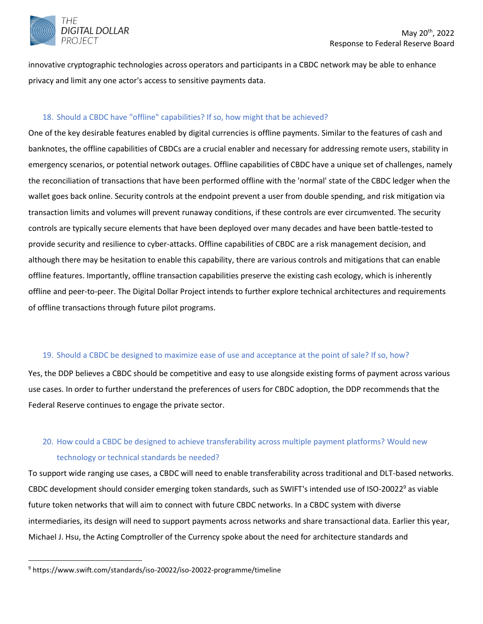

innovative cryptographic technologies across operators and participants in a CBDC network may be able to enhance privacy and limit any one actor's access to sensitive payments data.

### 18. Should a CBDC have "offline" capabilities? If so, how might that be achieved?

One of the key desirable features enabled by digital currencies is offline payments. Similar to the features of cash and banknotes, the offline capabilities of CBDCs are a crucial enabler and necessary for addressing remote users, stability in emergency scenarios, or potential network outages. Offline capabilities of CBDC have a unique set of challenges, namely the reconciliation of transactions that have been performed offline with the 'normal' state of the CBDC ledger when the wallet goes back online. Security controls at the endpoint prevent a user from double spending, and risk mitigation via transaction limits and volumes will prevent runaway conditions, if these controls are ever circumvented. The security controls are typically secure elements that have been deployed over many decades and have been battle-tested to provide security and resilience to cyber-attacks. Offline capabilities of CBDC are a risk management decision, and although there may be hesitation to enable this capability, there are various controls and mitigations that can enable offline features. Importantly, offline transaction capabilities preserve the existing cash ecology, which is inherently offline and peer-to-peer. The Digital Dollar Project intends to further explore technical architectures and requirements of offline transactions through future pilot programs.

#### 19. Should a CBDC be designed to maximize ease of use and acceptance at the point of sale? If so, how?

Yes, the DDP believes a CBDC should be competitive and easy to use alongside existing forms of payment across various use cases. In order to further understand the preferences of users for CBDC adoption, the DDP recommends that the Federal Reserve continues to engage the private sector.

# 20. How could a CBDC be designed to achieve transferability across multiple payment platforms? Would new technology or technical standards be needed?

To support wide ranging use cases, a CBDC will need to enable transferability across traditional and DLT-based networks. CBDC development should consider emerging token standards, such as SWIFT's intended use of ISO-20022<sup>9</sup> as viable future token networks that will aim to connect with future CBDC networks. In a CBDC system with diverse intermediaries, its design will need to support payments across networks and share transactional data. Earlier this year, Michael J. Hsu, the Acting Comptroller of the Currency spoke about the need for architecture standards and

<sup>9</sup> https://www.swift.com/standards/iso-20022/iso-20022-programme/timeline